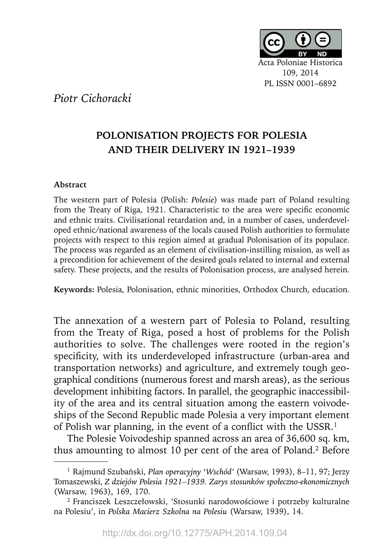

## *Piotr Cichoracki*

## **POLONISATION PROJECTS FOR POLESIA AND THEIR DELIVERY IN 1921–1939**

## **Abstract**

The western part of Polesia (Polish: *Polesie*) was made part of Poland resulting from the Treaty of Riga, 1921. Characteristic to the area were specific economic and ethnic traits. Civilisational retardation and, in a number of cases, underdeveloped ethnic/national awareness of the locals caused Polish authorities to formulate projects with respect to this region aimed at gradual Polonisation of its populace. The process was regarded as an element of civilisation-instilling mission, as well as a precondition for achievement of the desired goals related to internal and external safety. These projects, and the results of Polonisation process, are analysed herein.

**Keywords:** Polesia, Polonisation, ethnic minorities, Orthodox Church, education.

The annexation of a western part of Polesia to Poland, resulting from the Treaty of Riga, posed a host of problems for the Polish authorities to solve. The challenges were rooted in the region's specificity, with its underdeveloped infrastructure (urban-area and transportation networks) and agriculture, and extremely tough geographical conditions (numerous forest and marsh areas), as the serious development inhibiting factors. In parallel, the geographic inaccessibility of the area and its central situation among the eastern voivodeships of the Second Republic made Polesia a very important element of Polish war planning, in the event of a conflict with the USSR. $<sup>1</sup>$ </sup>

The Polesie Voivodeship spanned across an area of 36,600 sq. km, thus amounting to almost 10 per cent of the area of Poland.2 Before

<sup>1</sup> Rajmund Szubański, *Plan operacyjny 'Wschód'* (Warsaw, 1993), 8–11, 97; Jerzy Tomaszewski, *Z dziejów Polesia 1921–1939. Zarys stosunków społeczno-ekonomicznych*  (Warsaw, 1963), 169, 170.

<sup>2</sup> Franciszek Leszczełowski, 'Stosunki narodowościowe i potrzeby kulturalne na Polesiu', in *Polska Macierz Szkolna na Polesiu* (Warsaw, 1939), 14.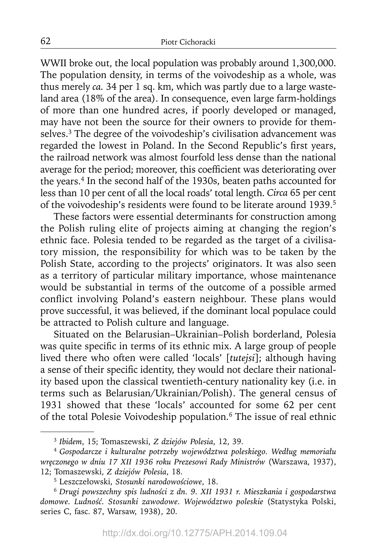WWII broke out, the local population was probably around 1,300,000. The population density, in terms of the voivodeship as a whole, was thus merely *ca.* 34 per 1 sq. km, which was partly due to a large wasteland area (18% of the area). In consequence, even large farm-holdings of more than one hundred acres, if poorly developed or managed, may have not been the source for their owners to provide for themselves.<sup>3</sup> The degree of the voivodeship's civilisation advancement was regarded the lowest in Poland. In the Second Republic's first years, the railroad network was almost fourfold less dense than the national average for the period; moreover, this coefficient was deteriorating over the years.<sup>4</sup> In the second half of the 1930s, beaten paths accounted for less than 10 per cent of all the local roads' total length. *Circa* 65 per cent of the voivodeship's residents were found to be literate around 1939.5

These factors were essential determinants for construction among the Polish ruling elite of projects aiming at changing the region's ethnic face. Polesia tended to be regarded as the target of a civilisatory mission, the responsibility for which was to be taken by the Polish State, according to the projects' originators. It was also seen as a territory of particular military importance, whose maintenance would be substantial in terms of the outcome of a possible armed conflict involving Poland's eastern neighbour. These plans would prove successful, it was believed, if the dominant local populace could be attracted to Polish culture and language.

Situated on the Belarusian–Ukrainian–Polish borderland, Polesia was quite specific in terms of its ethnic mix. A large group of people lived there who often were called 'locals' [*tutejsi*]; although having a sense of their specific identity, they would not declare their nationality based upon the classical twentieth-century nationality key (i.e. in terms such as Belarusian/Ukrainian/Polish). The general census of 1931 showed that these 'locals' accounted for some 62 per cent of the total Polesie Voivodeship population.<sup>6</sup> The issue of real ethnic

<sup>3</sup>*Ibidem*, 15; Tomaszewski, *Z dziejów Polesia*, 12, 39.

<sup>4</sup>*Gospodarcze i kulturalne potrzeby województwa poleskiego. Według memoriału wręczonego w dniu 17 XII 1936 roku Prezesowi Rady Ministrów* (Warszawa, 1937), 12; Tomaszewski, *Z dziejów Polesia*, 18.

<sup>5</sup> Leszczełowski, *Stosunki narodowościowe*, 18.

<sup>6</sup>*Drugi powszechny spis ludności z dn. 9. XII 1931 r. Mieszkania i gospodarstwa domowe. Ludność. Stosunki zawodowe. Województwo poleskie* (Statystyka Polski, series C, fasc. 87, Warsaw, 1938), 20.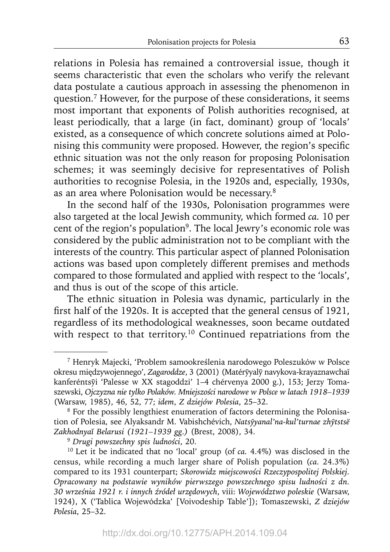relations in Polesia has remained a controversial issue, though it seems characteristic that even the scholars who verify the relevant data postulate a cautious approach in assessing the phenomenon in question.7 However, for the purpose of these considerations, it seems most important that exponents of Polish authorities recognised, at least periodically, that a large (in fact, dominant) group of 'locals' existed, as a consequence of which concrete solutions aimed at Polonising this community were proposed. However, the region's specific ethnic situation was not the only reason for proposing Polonisation schemes; it was seemingly decisive for representatives of Polish authorities to recognise Polesia, in the 1920s and, especially, 1930s, as an area where Polonisation would be necessary.8

In the second half of the 1930s, Polonisation programmes were also targeted at the local Jewish community, which formed *ca.* 10 per cent of the region's population<sup>9</sup>. The local Jewry's economic role was considered by the public administration not to be compliant with the interests of the country. This particular aspect of planned Polonisation actions was based upon completely different premises and methods compared to those formulated and applied with respect to the 'locals', and thus is out of the scope of this article.

The ethnic situation in Polesia was dynamic, particularly in the first half of the 1920s. It is accepted that the general census of 1921, regardless of its methodological weaknesses, soon became outdated with respect to that territory.<sup>10</sup> Continued repatriations from the

<sup>9</sup>*Drugi powszechny spis ludności*, 20.

<sup>7</sup> Henryk Majecki, 'Problem samookreślenia narodowego Poleszuków w Polsce okresu międzywojennego', Zagaroddze, 3 (2001) (Matéryyaly navykova-krayaznawchai kanferéntsyī 'Palesse w XX stagoddzi' 1–4 chérvenya 2000 g.), 153; Jerzy Tomaszewski, *Ojczyzna nie tylko Polaków. Mniejszości narodowe w Polsce w latach 1918–1939* (Warsaw, 1985), 46, 52, 77; *idem*, *Z dziejów Polesia*, 25–32.

<sup>8</sup> For the possibly lengthiest enumeration of factors determining the Polonisation of Polesia, see Alyaksandr M. Vabishchévich, *Natsȳyanal'na-kul'turnae zhȳtstsë Zakhodnyaĭ Belarusi (1921–1939 gg.)* (Brest, 2008), 34.

<sup>10</sup> Let it be indicated that no 'local' group (of *ca.* 4.4%) was disclosed in the census, while recording a much larger share of Polish population (*ca.* 24.3%) compared to its 1931 counterpart; *Skorowidz miejscowości Rzeczypospolitej Polskiej. Opracowany na podstawie wyników pierwszego powszechnego spisu ludności z dn. 30 września 1921 r. i innych źródeł urzędowych*, viii: *Województwo poleskie* (Warsaw, 1924), X ('Tablica Wojewódzka' [Voivodeship Table']); Tomaszewski, *Z dziejów Polesia*, 25–32.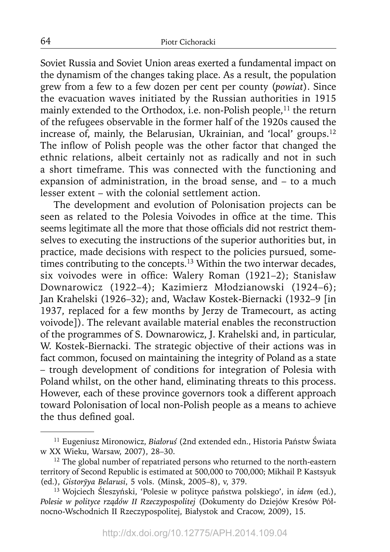Soviet Russia and Soviet Union areas exerted a fundamental impact on the dynamism of the changes taking place. As a result, the population grew from a few to a few dozen per cent per county (*powiat*). Since the evacuation waves initiated by the Russian authorities in 1915 mainly extended to the Orthodox, i.e. non-Polish people,<sup>11</sup> the return of the refugees observable in the former half of the 1920s caused the increase of, mainly, the Belarusian, Ukrainian, and 'local' groups.12 The inflow of Polish people was the other factor that changed the ethnic relations, albeit certainly not as radically and not in such a short timeframe. This was connected with the functioning and expansion of administration, in the broad sense, and – to a much lesser extent – with the colonial settlement action.

The development and evolution of Polonisation projects can be seen as related to the Polesia Voivodes in office at the time. This seems legitimate all the more that those officials did not restrict themselves to executing the instructions of the superior authorities but, in practice, made decisions with respect to the policies pursued, sometimes contributing to the concepts.<sup>13</sup> Within the two interwar decades, six voivodes were in office: Walery Roman (1921–2); Stanisław Downarowicz (1922–4); Kazimierz Młodzianowski (1924–6); Jan Krahelski (1926–32); and, Wacław Kostek-Biernacki (1932–9 [in 1937, replaced for a few months by Jerzy de Tramecourt, as acting voivode]). The relevant available material enables the reconstruction of the programmes of S. Downarowicz, J. Krahelski and, in particular, W. Kostek-Biernacki. The strategic objective of their actions was in fact common, focused on maintaining the integrity of Poland as a state – trough development of conditions for integration of Polesia with Poland whilst, on the other hand, eliminating threats to this process. However, each of these province governors took a different approach toward Polonisation of local non-Polish people as a means to achieve the thus defined goal.

64

<sup>11</sup> Eugeniusz Mironowicz, *Białoruś* (2nd extended edn., Historia Państw Świata w XX Wieku, Warsaw, 2007), 28–30.

<sup>&</sup>lt;sup>12</sup> The global number of repatriated persons who returned to the north-eastern territory of Second Republic is estimated at 500,000 to 700,000; Mikhail P. Kastsyuk (ed.), *Gistoryya Belarusi ̄* , 5 vols. (Minsk, 2005–8), v, 379.

<sup>13</sup> Wojciech Śleszyński, 'Polesie w polityce państwa polskiego', in *idem* (ed.), *Polesie w polityce rządów II Rzeczypospolitej* (Dokumenty do Dziejów Kresów Północno-Wschodnich II Rzeczypospolitej, Białystok and Cracow, 2009), 15.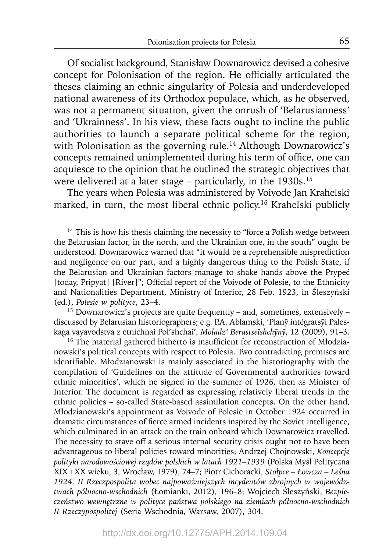Of socialist background, Stanisław Downarowicz devised a cohesive concept for Polonisation of the region. He officially articulated the theses claiming an ethnic singularity of Polesia and underdeveloped national awareness of its Orthodox populace, which, as he observed, was not a permanent situation, given the onrush of 'Belarusianness' and 'Ukrainness'. In his view, these facts ought to incline the public authorities to launch a separate political scheme for the region, with Polonisation as the governing rule.<sup>14</sup> Although Downarowicz's concepts remained unimplemented during his term of office, one can acquiesce to the opinion that he outlined the strategic objectives that were delivered at a later stage – particularly, in the  $1930s$ <sup>15</sup>

The years when Polesia was administered by Voivode Jan Krahelski marked, in turn, the most liberal ethnic policy.<sup>16</sup> Krahelski publicly

<sup>15</sup> Downarowicz's projects are quite frequently – and, sometimes, extensively – discussed by Belarusian historiographers; e.g. P.A. Ablamski, 'Plany intégratsyi Paleskaga vayavodstva z étnichnaĭ Pol'shchaĭ'*, Moladz' Berastseĭshchyn̄ y*,*̄* 12 (2009), 91–3.

<sup>16</sup> The material gathered hitherto is insufficient for reconstruction of Młodzianowski's political concepts with respect to Polesia. Two contradicting premises are identifiable. Młodzianowski is mainly associated in the historiography with the compilation of 'Guidelines on the attitude of Governmental authorities toward ethnic minorities', which he signed in the summer of 1926, then as Minister of Interior. The document is regarded as expressing relatively liberal trends in the ethnic policies – so-called State-based assimilation concepts. On the other hand, Młodzianowski's appointment as Voivode of Polesie in October 1924 occurred in dramatic circumstances of fierce armed incidents inspired by the Soviet intelligence, which culminated in an attack on the train onboard which Downarowicz travelled. The necessity to stave off a serious internal security crisis ought not to have been advantageous to liberal policies toward minorities; Andrzej Chojnowski, *Koncepcje polityki narodowościowej rządów polskich w latach 1921–1939* (Polska Myśl Poli tyczna XIX i XX wieku, 3, Wrocław, 1979), 74–7; Piotr Cichoracki, *Stołpce – Łowcza – Leśna 1924. II Rzeczpospolita wobec najpoważniejszych incydentów zbrojnych w województwach północno-wschodnich* (Łomianki, 2012), 196–8; Wojciech Śleszyński, *Bezpieczeństwo wewnętrzne w polityce państwa polskiego na ziemiach północno-wschodnich II Rzeczypospolitej* (Seria Wschodnia, Warsaw, 2007), 304.

 $14$  This is how his thesis claiming the necessity to "force a Polish wedge between the Belarusian factor, in the north, and the Ukrainian one, in the south" ought be understood. Downarowicz warned that "it would be a reprehensible misprediction and negligence on our part, and a highly dangerous thing to the Polish State, if the Belarusian and Ukrainian factors manage to shake hands above the Prypeć [today, Pripyat] [River]"; Official report of the Voivode of Polesie, to the Ethnicity and Nationalities Department, Ministry of Interior, 28 Feb. 1923, in Śleszyński (ed.), *Polesie w polityce*, 23–4.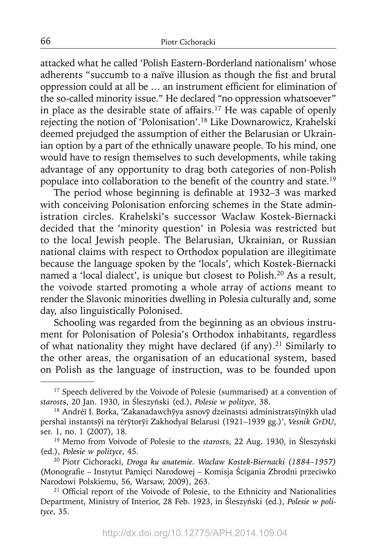attacked what he called 'Polish Eastern-Borderland nationalism' whose adherents "succumb to a naïve illusion as though the fist and brutal oppression could at all be ... an instrument efficient for elimination of the so-called minority issue." He declared "no oppression whatsoever" in place as the desirable state of affairs.<sup>17</sup> He was capable of openly rejecting the notion of 'Polonisation'.18 Like Downarowicz, Krahelski deemed prejudged the assumption of either the Belarusian or Ukrainian option by a part of the ethnically unaware people. To his mind, one would have to resign themselves to such developments, while taking advantage of any opportunity to drag both categories of non-Polish populace into collaboration to the benefit of the country and state.<sup>19</sup>

The period whose beginning is definable at  $1932-3$  was marked with conceiving Polonisation enforcing schemes in the State administration circles. Krahelski's successor Wacław Kostek-Biernacki decided that the 'minority question' in Polesia was restricted but to the local Jewish people. The Belarusian, Ukrainian, or Russian national claims with respect to Orthodox population are illegitimate because the language spoken by the 'locals', which Kostek-Biernacki named a 'local dialect', is unique but closest to Polish.20 As a result, the voivode started promoting a whole array of actions meant to render the Slavonic minorities dwelling in Polesia culturally and, some day, also linguistically Polonised.

Schooling was regarded from the beginning as an obvious instrument for Polonisation of Polesia's Orthodox inhabitants, regardless of what nationality they might have declared (if any).<sup>21</sup> Similarly to the other areas, the organisation of an educational system, based on Polish as the language of instruction, was to be founded upon

66

<sup>&</sup>lt;sup>17</sup> Speech delivered by the Voivode of Polesie (summarised) at a convention of *starost*s, 20 Jan. 1930, in Śleszyński (ed.), *Polesie w polityce*, 38.

<sup>&</sup>lt;sup>18</sup> Andréĭ I. Borka, 'Zakanadawchyya asnovy dzeĭnastsi administratsyĭnykh ulad pershaĭ instantsȳi na térȳtorȳi Zakhodyaĭ Belarusi (1921–1939 gg.)', *Vesnik GrDU*,

<sup>&</sup>lt;sup>19</sup> Memo from Voivode of Polesie to the *starosts*, 22 Aug. 1930, in Śleszyński (ed.), *Polesie w polityce*, 45.

<sup>20</sup> Piotr Cichoracki, *Droga ku anatemie. Wacław Kostek-Biernacki (1884–1957)* (Monografie – Instytut Pamięci Narodowej – Komisja Ścigania Zbrodni przeciwko Narodowi Polskiemu, 56, Warsaw, 2009), 263.

<sup>&</sup>lt;sup>21</sup> Official report of the Voivode of Polesie, to the Ethnicity and Nationalities Department, Ministry of Interior, 28 Feb. 1923, in Śleszyński (ed.), *Polesie w polityce*, 35.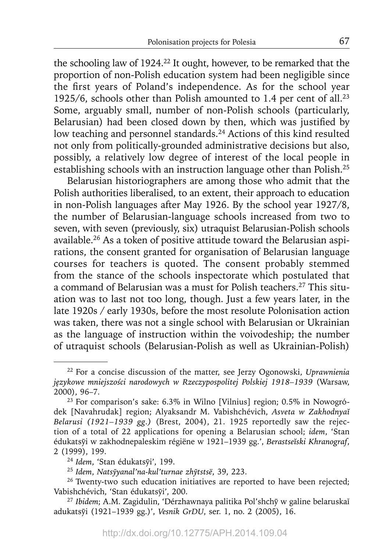the schooling law of 1924.22 It ought, however, to be remarked that the proportion of non-Polish education system had been negligible since the first years of Poland's independence. As for the school year 1925/6, schools other than Polish amounted to 1.4 per cent of all.<sup>23</sup> Some, arguably small, number of non-Polish schools (particularly, Belarusian) had been closed down by then, which was justified by low teaching and personnel standards.<sup>24</sup> Actions of this kind resulted not only from politically-grounded administrative decisions but also, possibly, a relatively low degree of interest of the local people in establishing schools with an instruction language other than Polish.25

Belarusian historiographers are among those who admit that the Polish authorities liberalised, to an extent, their approach to education in non-Polish languages after May 1926. By the school year 1927/8, the number of Belarusian-language schools increased from two to seven, with seven (previously, six) utraquist Belarusian-Polish schools available.26 As a token of positive attitude toward the Belarusian aspirations, the consent granted for organisation of Belarusian language courses for teachers is quoted. The consent probably stemmed from the stance of the schools inspectorate which postulated that a command of Belarusian was a must for Polish teachers.<sup>27</sup> This situation was to last not too long, though. Just a few years later, in the late 1920s / early 1930s, before the most resolute Polonisation action was taken, there was not a single school with Belarusian or Ukrainian as the language of instruction within the voivodeship; the number of utraquist schools (Belarusian-Polish as well as Ukrainian-Polish)

<sup>22</sup> For a concise discussion of the matter, see Jerzy Ogonowski, *Uprawnienia językowe mniejszości narodowych w Rzeczypospolitej Polskiej 1918–1939* (Warsaw, 2000), 96–7.

<sup>23</sup> For comparison's sake: 6.3% in Wilno [Vilnius] region; 0.5% in Nowogródek [Navahrudak] region; Alyaksandr M. Vabishchévich, *Asveta w Zakhodnyaĭ Belarusi (1921–1939 gg.)* (Brest, 2004), 21. 1925 reportedly saw the rejection of a total of 22 applications for opening a Belarusian school; *idem*, 'Stan édukatsȳi w zakhodnepaleskim régiëne w 1921–1939 gg.', *Berastseĭski Khranograf*, 2 (1999), 199.

<sup>&</sup>lt;sup>24</sup> Idem, 'Stan édukatsyi', 199.

<sup>25</sup>*Idem*, *Natsȳyanal'na-kul'turnae zhytstsë ̄* , 39, 223.

<sup>&</sup>lt;sup>26</sup> Twenty-two such education initiatives are reported to have been rejected; Vabishchévich, 'Stan édukatsvi', 200.

<sup>&</sup>lt;sup>27</sup> Ibidem; A.M. Zagidulin, 'Dérzhawnaya palitika Pol'shchy w galine belaruskaĭ adukatsȳi (1921–1939 gg.)', *Vesnik GrDU*, ser. 1, no. 2 (2005), 16.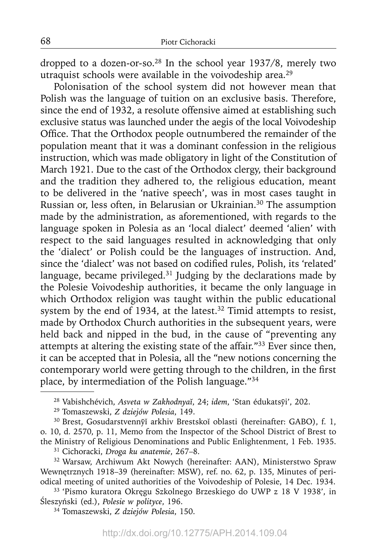dropped to a dozen-or-so.28 In the school year 1937/8, merely two utraquist schools were available in the voivodeship area.29

Polonisation of the school system did not however mean that Polish was the language of tuition on an exclusive basis. Therefore, since the end of 1932, a resolute offensive aimed at establishing such exclusive status was launched under the aegis of the local Voivodeship Office. That the Orthodox people outnumbered the remainder of the population meant that it was a dominant confession in the religious instruction, which was made obligatory in light of the Constitution of March 1921. Due to the cast of the Orthodox clergy, their background and the tradition they adhered to, the religious education, meant to be delivered in the 'native speech', was in most cases taught in Russian or, less often, in Belarusian or Ukrainian.30 The assumption made by the administration, as aforementioned, with regards to the language spoken in Polesia as an 'local dialect' deemed 'alien' with respect to the said languages resulted in acknowledging that only the 'dialect' or Polish could be the languages of instruction. And, since the 'dialect' was not based on codified rules, Polish, its 'related' language, became privileged.<sup>31</sup> Judging by the declarations made by the Polesie Voivodeship authorities, it became the only language in which Orthodox religion was taught within the public educational system by the end of 1934, at the latest.<sup>32</sup> Timid attempts to resist, made by Orthodox Church authorities in the subsequent years, were held back and nipped in the bud, in the cause of "preventing any attempts at altering the existing state of the affair."33 Ever since then, it can be accepted that in Polesia, all the "new notions concerning the contemporary world were getting through to the children, in the first place, by intermediation of the Polish language."34

29 Tomaszewski, *Z dziejów Polesia*, 149.

<sup>30</sup> Brest, Gosudarstvennyı arkhiv Brestskoi oblasti (hereinafter: GABO), f. 1, o. 10, d. 2570, p. 11, Memo from the Inspector of the School District of Brest to the Ministry of Religious Denominations and Public Enlightenment, 1 Feb. 1935.

31 Cichoracki, *Droga ku anatemie*, 267–8.

<sup>32</sup> Warsaw, Archiwum Akt Nowych (hereinafter: AAN), Ministerstwo Spraw Wewnętrznych 1918–39 (hereinafter: MSW), ref. no. 62, p. 135, Minutes of periodical meeting of united authorities of the Voivodeship of Polesie, 14 Dec. 1934.

33 'Pismo kuratora Okręgu Szkolnego Brzeskiego do UWP z 18 V 1938', in Śleszyński (ed.), *Polesie w polityce*, 196.

34 Tomaszewski, *Z dziejów Polesia*, 150.

<sup>28</sup> Vabishchévich, *Asveta w Zakhodnyaĭ*, 24; *idem*, 'Stan édukatsȳi', 202.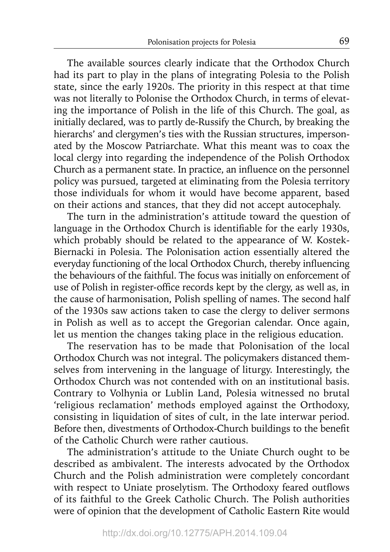The available sources clearly indicate that the Orthodox Church had its part to play in the plans of integrating Polesia to the Polish state, since the early 1920s. The priority in this respect at that time was not literally to Polonise the Orthodox Church, in terms of elevating the importance of Polish in the life of this Church. The goal, as initially declared, was to partly de-Russify the Church, by breaking the hierarchs' and clergymen's ties with the Russian structures, impersonated by the Moscow Patriarchate. What this meant was to coax the local clergy into regarding the independence of the Polish Orthodox Church as a permanent state. In practice, an influence on the personnel policy was pursued, targeted at eliminating from the Polesia territory those individuals for whom it would have become apparent, based on their actions and stances, that they did not accept autocephaly.

The turn in the administration's attitude toward the question of language in the Orthodox Church is identifiable for the early 1930s, which probably should be related to the appearance of W. Kostek-Biernacki in Polesia. The Polonisation action essentially altered the everyday functioning of the local Orthodox Church, thereby influencing the behaviours of the faithful. The focus was initially on enforcement of use of Polish in register-office records kept by the clergy, as well as, in the cause of harmonisation, Polish spelling of names. The second half of the 1930s saw actions taken to case the clergy to deliver sermons in Polish as well as to accept the Gregorian calendar. Once again, let us mention the changes taking place in the religious education.

The reservation has to be made that Polonisation of the local Orthodox Church was not integral. The policymakers distanced themselves from intervening in the language of liturgy. Interestingly, the Orthodox Church was not contended with on an institutional basis. Contrary to Volhynia or Lublin Land, Polesia witnessed no brutal 'religious reclamation' methods employed against the Orthodoxy, consisting in liquidation of sites of cult, in the late interwar period. Before then, divestments of Orthodox-Church buildings to the benefit of the Catholic Church were rather cautious.

The administration's attitude to the Uniate Church ought to be described as ambivalent. The interests advocated by the Orthodox Church and the Polish administration were completely concordant with respect to Uniate proselytism. The Orthodoxy feared outflows of its faithful to the Greek Catholic Church. The Polish authorities were of opinion that the development of Catholic Eastern Rite would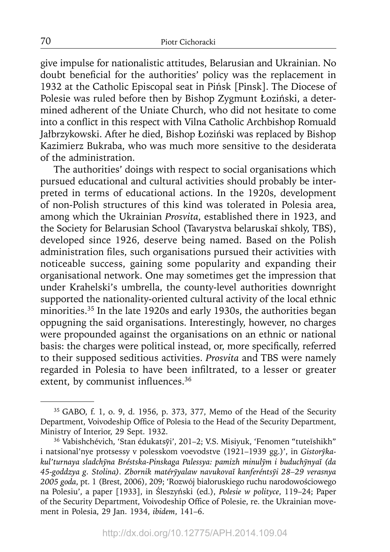give impulse for nationalistic attitudes, Belarusian and Ukrainian. No doubt beneficial for the authorities' policy was the replacement in 1932 at the Catholic Episcopal seat in Pińsk [Pinsk]. The Diocese of Polesie was ruled before then by Bishop Zygmunt Łoziński, a determined adherent of the Uniate Church, who did not hesitate to come into a conflict in this respect with Vilna Catholic Archbishop Romuald Jałbrzykowski. After he died, Bishop Łoziński was replaced by Bishop Kazimierz Bukraba, who was much more sensitive to the desiderata of the administration.

The authorities' doings with respect to social organisations which pursued educational and cultural activities should probably be interpreted in terms of educational actions. In the 1920s, development of non-Polish structures of this kind was tolerated in Polesia area, among which the Ukrainian *Prosvita*, established there in 1923, and the Society for Belarusian School (Tavarystva belaruskaĭ shkoly, TBS), developed since 1926, deserve being named. Based on the Polish administration files, such organisations pursued their activities with noticeable success, gaining some popularity and expanding their organisational network. One may sometimes get the impression that under Krahelski's umbrella, the county-level authorities downright supported the nationality-oriented cultural activity of the local ethnic minorities.<sup>35</sup> In the late 1920s and early 1930s, the authorities began oppugning the said organisations. Interestingly, however, no charges were propounded against the organisations on an ethnic or national basis: the charges were political instead, or, more specifically, referred to their supposed seditious activities. *Prosvita* and TBS were namely regarded in Polesia to have been infiltrated, to a lesser or greater extent, by communist influences. $36$ 

70

<sup>35</sup> GABO, f. 1, o. 9, d. 1956, p. 373, 377, Memo of the Head of the Security Department, Voivodeship Office of Polesia to the Head of the Security Department, Ministry of Interior, 29 Sept. 1932.

<sup>&</sup>lt;sup>36</sup> Vabishchévich, 'Stan édukatsyī', 201-2; V.S. Misiyuk, 'Fenomen "tuteĭshikh" i natsional'nye protsessy v polesskom voevodstve (1921–1939 gg.)', in *Gistoryka- ̄ kul'turnaya sladchȳna Bréstska-Pinskaga Palessya: pamizh minulȳm i buduchȳnyaĭ (da 45-goddzya g. Stolina). Zbornik matérȳyalaw navukovaĭ kanferéntsyi 28–29 verasnya ̄ 2005 goda*, pt. 1 (Brest, 2006), 209; 'Rozwój białoruskiego ruchu narodowościowego na Polesiu', a paper [1933], in Śleszyński (ed.), *Polesie w polityce*, 119–24; Paper of the Security Department, Voivodeship Office of Polesie, re. the Ukrainian movement in Polesia, 29 Jan. 1934, *ibidem*, 141–6.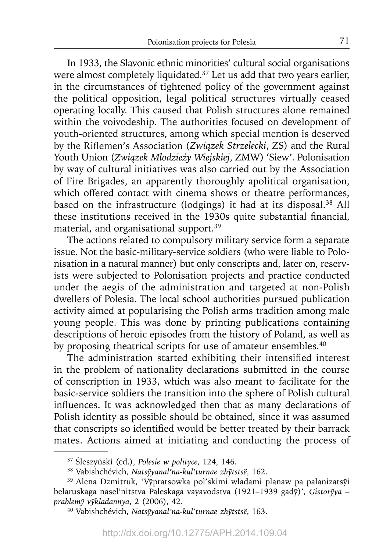In 1933, the Slavonic ethnic minorities' cultural social organisations were almost completely liquidated.<sup>37</sup> Let us add that two years earlier, in the circumstances of tightened policy of the government against the political opposition, legal political structures virtually ceased operating locally. This caused that Polish structures alone remained within the voivodeship. The authorities focused on development of youth-oriented structures, among which special mention is deserved by the Rifl emen's Association (*Związek Strzelecki*, ZS) and the Rural Youth Union (*Związek Młodzieży Wiejskiej*, ZMW) 'Siew'. Polonisation by way of cultural initiatives was also carried out by the Association of Fire Brigades, an apparently thoroughly apolitical organisation, which offered contact with cinema shows or theatre performances, based on the infrastructure (lodgings) it had at its disposal.<sup>38</sup> All these institutions received in the 1930s quite substantial financial, material, and organisational support.39

The actions related to compulsory military service form a separate issue. Not the basic-military-service soldiers (who were liable to Polonisation in a natural manner) but only conscripts and, later on, reservists were subjected to Polonisation projects and practice conducted under the aegis of the administration and targeted at non-Polish dwellers of Polesia. The local school authorities pursued publication activity aimed at popularising the Polish arms tradition among male young people. This was done by printing publications containing descriptions of heroic episodes from the history of Poland, as well as by proposing theatrical scripts for use of amateur ensembles.<sup>40</sup>

The administration started exhibiting their intensified interest in the problem of nationality declarations submitted in the course of conscription in 1933, which was also meant to facilitate for the basic-service soldiers the transition into the sphere of Polish cultural influences. It was acknowledged then that as many declarations of Polish identity as possible should be obtained, since it was assumed that conscripts so identified would be better treated by their barrack mates. Actions aimed at initiating and conducting the process of

<sup>37</sup>Śleszyński (ed.), *Polesie w polityce*, 124, 146.

<sup>38</sup> Vabishchévich, *Natsyvanal'na-kul'turnae zhytstsë*, 162.

<sup>&</sup>lt;sup>39</sup> Alena Dzmitruk, 'Vypratsowka pol'skimi wladami planaw pa palanizatsyi belaruskaga nasel'nitstva Paleskaga vayavodstva (1921–1939 gadȳ)', *Gistorȳya – prablemy v̄ ykladannya ̄* , 2 (2006), 42.

<sup>40</sup> Vabishchévich, *Natsyyanal'na-kul'turnae zh ̄ ytstsë ̄* , 163.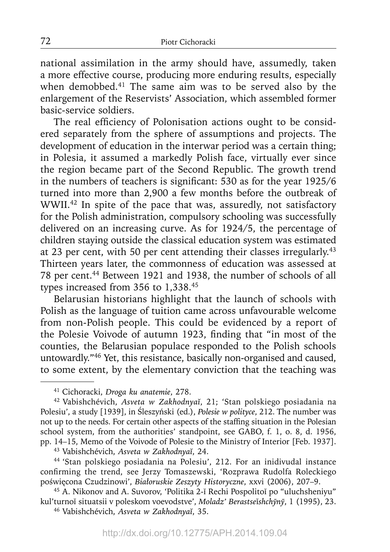national assimilation in the army should have, assumedly, taken a more effective course, producing more enduring results, especially when demobbed.<sup>41</sup> The same aim was to be served also by the enlargement of the Reservists' Association, which assembled former basic-service soldiers.

The real efficiency of Polonisation actions ought to be considered separately from the sphere of assumptions and projects. The development of education in the interwar period was a certain thing; in Polesia, it assumed a markedly Polish face, virtually ever since the region became part of the Second Republic. The growth trend in the numbers of teachers is significant: 530 as for the year 1925/6 turned into more than 2,900 a few months before the outbreak of WWII.42 In spite of the pace that was, assuredly, not satisfactory for the Polish administration, compulsory schooling was successfully delivered on an increasing curve. As for 1924/5, the percentage of children staying outside the classical education system was estimated at 23 per cent, with 50 per cent attending their classes irregularly.43 Thirteen years later, the commonness of education was assessed at 78 per cent.44 Between 1921 and 1938, the number of schools of all types increased from 356 to 1,338.45

Belarusian historians highlight that the launch of schools with Polish as the language of tuition came across unfavourable welcome from non-Polish people. This could be evidenced by a report of the Polesie Voivode of autumn 1923, finding that "in most of the counties, the Belarusian populace responded to the Polish schools untowardly."46 Yet, this resistance, basically non-organised and caused, to some extent, by the elementary conviction that the teaching was

43 Vabishchévich, *Asveta w Zakhodnyaĭ*, 24.

44 'Stan polskiego posiadania na Polesiu', 212. For an inidivudal instance confirming the trend, see Jerzy Tomaszewski, 'Rozprawa Rudolfa Roleckiego poświęcona Czudzinowi', *Białoruskie Zeszyty Historyczne*, xxvi (2006), 207–9.

45 A. Nikonov and A. Suvorov, 'Politika 2-ĭ Rechi Pospolitoĭ po "uluchsheniyu" kul'turnoĭ situatsii v poleskom voevodstve', *Moladz' Berastse*ĭ*shchyn̄ ȳ*, 1 (1995), 23.

46 Vabishchévich, *Asveta w Zakhodnyaĭ*, 35.

<sup>41</sup> Cichoracki, *Droga ku anatemie*, 278.

<sup>42</sup> Vabishchévich, *Asveta w Zakhodnyaĭ*, 21; 'Stan polskiego posiadania na Polesiu', a study [1939], in Śleszyński (ed.), *Polesie w polityce*, 212. The number was not up to the needs. For certain other aspects of the staffing situation in the Polesian school system, from the authorities' standpoint, see GABO, f. 1, o. 8, d. 1956, pp. 14–15, Memo of the Voivode of Polesie to the Ministry of Interior [Feb. 1937].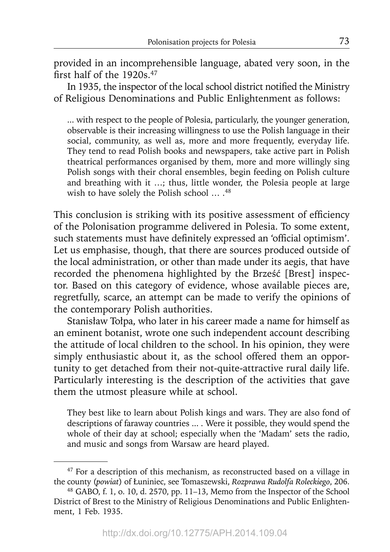provided in an incomprehensible language, abated very soon, in the first half of the  $1920s<sup>47</sup>$ 

In 1935, the inspector of the local school district notified the Ministry of Religious Denominations and Public Enlightenment as follows:

... with respect to the people of Polesia, particularly, the younger generation, observable is their increasing willingness to use the Polish language in their social, community, as well as, more and more frequently, everyday life. They tend to read Polish books and newspapers, take active part in Polish theatrical performances organised by them, more and more willingly sing Polish songs with their choral ensembles, begin feeding on Polish culture and breathing with it …; thus, little wonder, the Polesia people at large wish to have solely the Polish school ...  $^{48}$ 

This conclusion is striking with its positive assessment of efficiency of the Polonisation programme delivered in Polesia. To some extent, such statements must have definitely expressed an 'official optimism'. Let us emphasise, though, that there are sources produced outside of the local administration, or other than made under its aegis, that have recorded the phenomena highlighted by the Brześć [Brest] inspector. Based on this category of evidence, whose available pieces are, regretfully, scarce, an attempt can be made to verify the opinions of the contemporary Polish authorities.

Stanisław Tołpa, who later in his career made a name for himself as an eminent botanist, wrote one such independent account describing the attitude of local children to the school. In his opinion, they were simply enthusiastic about it, as the school offered them an opportunity to get detached from their not-quite-attractive rural daily life. Particularly interesting is the description of the activities that gave them the utmost pleasure while at school.

They best like to learn about Polish kings and wars. They are also fond of descriptions of faraway countries ... . Were it possible, they would spend the whole of their day at school; especially when the 'Madam' sets the radio, and music and songs from Warsaw are heard played.

<sup>47</sup> For a description of this mechanism, as reconstructed based on a village in the county (*powiat*) of Łuniniec, see Tomaszewski, *Rozprawa Rudolfa Roleckiego*, 206.

<sup>48</sup> GABO, f. 1, o. 10, d. 2570, pp. 11–13, Memo from the Inspector of the School District of Brest to the Ministry of Religious Denominations and Public Enlightenment, 1 Feb. 1935.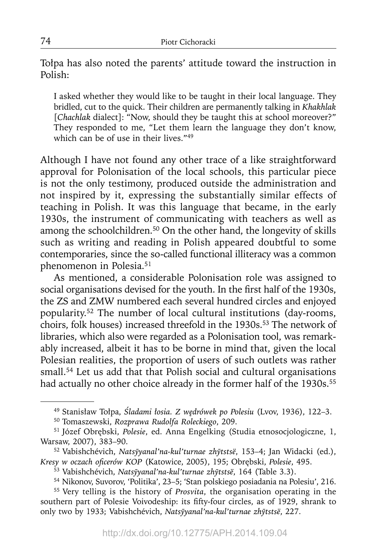Tołpa has also noted the parents' attitude toward the instruction in Polish:

I asked whether they would like to be taught in their local language. They bridled, cut to the quick. Their children are permanently talking in *Khakhlak* [*Chachlak* dialect]: "Now, should they be taught this at school moreover?" They responded to me, "Let them learn the language they don't know, which can be of use in their lives."<sup>49</sup>

Although I have not found any other trace of a like straightforward approval for Polonisation of the local schools, this particular piece is not the only testimony, produced outside the administration and not inspired by it, expressing the substantially similar effects of teaching in Polish. It was this language that became, in the early 1930s, the instrument of communicating with teachers as well as among the schoolchildren.<sup>50</sup> On the other hand, the longevity of skills such as writing and reading in Polish appeared doubtful to some contemporaries, since the so-called functional illiteracy was a common phenomenon in Polesia.51

As mentioned, a considerable Polonisation role was assigned to social organisations devised for the youth. In the first half of the 1930s, the ZS and ZMW numbered each several hundred circles and enjoyed popularity.52 The number of local cultural institutions (day-rooms, choirs, folk houses) increased threefold in the 1930s.<sup>53</sup> The network of libraries, which also were regarded as a Polonisation tool, was remarkably increased, albeit it has to be borne in mind that, given the local Polesian realities, the proportion of users of such outlets was rather small.<sup>54</sup> Let us add that that Polish social and cultural organisations had actually no other choice already in the former half of the 1930s.<sup>55</sup>

52 Vabishchévich, *Natsȳyanal'na-kul'turnae zhȳtstsë*, 153–4; Jan Widacki (ed.), *Kresy w oczach ofi cerów KOP* (Katowice, 2005), 195; Obrębski, *Polesie*, 495.

<sup>49</sup> Stanisław Tołpa, *Śladami łosia. Z wędrówek po Polesiu* (Lvov, 1936), 122–3.

<sup>50</sup> Tomaszewski, *Rozprawa Rudolfa Roleckiego*, 209.

<sup>51</sup> Józef Obrębski, *Polesie*, ed. Anna Engelking (Studia etnosocjologiczne, 1, Warsaw, 2007), 383–90.

<sup>53</sup> Vabishchévich, *Natsyyanal'na-kul'turnae zh ̄ ytstsë ̄* , 164 (Table 3.3).

<sup>54</sup> Nikonov, Suvorov, 'Politika', 23–5; 'Stan polskiego posiadania na Polesiu', 216.

<sup>55</sup> Very telling is the history of *Prosvita*, the organisation operating in the southern part of Polesie Voivodeship: its fifty-four circles, as of 1929, shrank to only two by 1933; Vabishchévich, *Natsȳyanal'na-kul'turnae zhȳtstsë*, 227.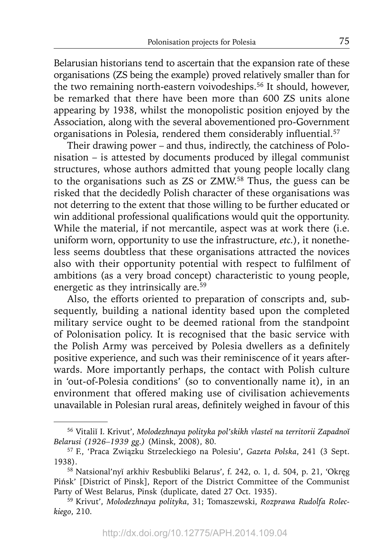Belarusian historians tend to ascertain that the expansion rate of these organisations (ZS being the example) proved relatively smaller than for the two remaining north-eastern voivodeships.56 It should, however, be remarked that there have been more than 600 ZS units alone appearing by 1938, whilst the monopolistic position enjoyed by the Association, along with the several abovementioned pro-Government organisations in Polesia, rendered them considerably influential.<sup>57</sup>

Their drawing power – and thus, indirectly, the catchiness of Polonisation – is attested by documents produced by illegal communist structures, whose authors admitted that young people locally clang to the organisations such as ZS or ZMW.58 Thus, the guess can be risked that the decidedly Polish character of these organisations was not deterring to the extent that those willing to be further educated or win additional professional qualifications would quit the opportunity. While the material, if not mercantile, aspect was at work there (i.e. uniform worn, opportunity to use the infrastructure, *etc.*), it nonetheless seems doubtless that these organisations attracted the novices also with their opportunity potential with respect to fulfilment of ambitions (as a very broad concept) characteristic to young people, energetic as they intrinsically are.59

Also, the efforts oriented to preparation of conscripts and, subsequently, building a national identity based upon the completed military service ought to be deemed rational from the standpoint of Polonisation policy. It is recognised that the basic service with the Polish Army was perceived by Polesia dwellers as a definitely positive experience, and such was their reminiscence of it years afterwards. More importantly perhaps, the contact with Polish culture in 'out-of-Polesia conditions' (so to conventionally name it), in an environment that offered making use of civilisation achievements unavailable in Polesian rural areas, definitely weighed in favour of this

<sup>56</sup> Vitaliĭ I. Krivut', *Molodezhnaya polityka pol'skikh vlasteĭ na territorii Zapadnoĭ Belarusi (1926–1939 gg.)* (Minsk, 2008), 80.

<sup>57</sup> F., 'Praca Związku Strzeleckiego na Polesiu', *Gazeta Polska*, 241 (3 Sept. 1938).

<sup>58</sup> Natsional'nyĭ arkhiv Resbubliki Belarus', f. 242, o. 1, d. 504, p. 21, 'Okręg Pińsk' [District of Pinsk], Report of the District Committee of the Communist Party of West Belarus, Pinsk (duplicate, dated 27 Oct. 1935).

<sup>59</sup> Krivut', *Molodezhnaya polityka*, 31; Tomaszewski, *Rozprawa Rudolfa Roleckiego*, 210.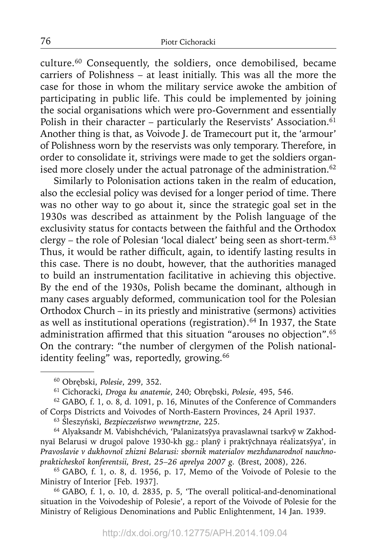culture.60 Consequently, the soldiers, once demobilised, became carriers of Polishness – at least initially. This was all the more the case for those in whom the military service awoke the ambition of participating in public life. This could be implemented by joining the social organisations which were pro-Government and essentially Polish in their character – particularly the Reservists' Association.<sup>61</sup> Another thing is that, as Voivode J. de Tramecourt put it, the 'armour' of Polishness worn by the reservists was only temporary. Therefore, in order to consolidate it, strivings were made to get the soldiers organised more closely under the actual patronage of the administration. $62$ 

Similarly to Polonisation actions taken in the realm of education, also the ecclesial policy was devised for a longer period of time. There was no other way to go about it, since the strategic goal set in the 1930s was described as attainment by the Polish language of the exclusivity status for contacts between the faithful and the Orthodox clergy – the role of Polesian 'local dialect' being seen as short-term.<sup>63</sup> Thus, it would be rather difficult, again, to identify lasting results in this case. There is no doubt, however, that the authorities managed to build an instrumentation facilitative in achieving this objective. By the end of the 1930s, Polish became the dominant, although in many cases arguably deformed, communication tool for the Polesian Orthodox Church – in its priestly and ministrative (sermons) activities as well as institutional operations (registration). $64$  In 1937, the State administration affirmed that this situation "arouses no objection".<sup>65</sup> On the contrary: "the number of clergymen of the Polish nationalidentity feeling" was, reportedly, growing.<sup>66</sup>

<sup>63</sup>Śleszyński, *Bezpieczeństwo wewnętrzne*, 225.

<sup>64</sup> Alyaksandr M. Vabishchévich, 'Palanizatsyya pravaslawnaĭ tsarkvy w Zakhod nyaĭ Belarusi w drugoĭ palove 1930-kh gg.: planȳ i praktȳchnaya réalizatsȳya', in *Pravoslavie v dukhovnoĭ zhizni Belarusi: sbornik materialov mezhdunarodnoĭ nauchnoprakticheskoĭ konferentsii, Brest, 25–26 aprelya 2007 g.* (Brest, 2008), 226.

65 GABO, f. 1, o. 8, d. 1956, p. 17, Memo of the Voivode of Polesie to the Ministry of Interior [Feb. 1937].

66 GABO, f. 1, o. 10, d. 2835, p. 5, 'The overall political-and-denominational situation in the Voivodeship of Polesie', a report of the Voivode of Polesie for the Ministry of Religious Denominations and Public Enlightenment, 14 Jan. 1939.

<sup>60</sup> Obrębski, *Polesie*, 299, 352.

<sup>61</sup> Cichoracki, *Droga ku anatemie*, 240; Obrębski, *Polesie*, 495, 546.

<sup>62</sup> GABO, f. 1, o. 8, d. 1091, p. 16, Minutes of the Conference of Commanders of Corps Districts and Voivodes of North-Eastern Provinces, 24 April 1937.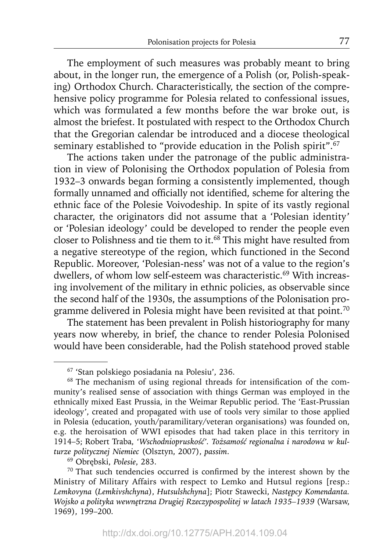The employment of such measures was probably meant to bring about, in the longer run, the emergence of a Polish (or, Polish-speaking) Orthodox Church. Characteristically, the section of the comprehensive policy programme for Polesia related to confessional issues, which was formulated a few months before the war broke out, is almost the briefest. It postulated with respect to the Orthodox Church that the Gregorian calendar be introduced and a diocese theological seminary established to "provide education in the Polish spirit".<sup>67</sup>

The actions taken under the patronage of the public administration in view of Polonising the Orthodox population of Polesia from 1932–3 onwards began forming a consistently implemented, though formally unnamed and officially not identified, scheme for altering the ethnic face of the Polesie Voivodeship. In spite of its vastly regional character, the originators did not assume that a 'Polesian identity' or 'Polesian ideology' could be developed to render the people even closer to Polishness and tie them to it.<sup>68</sup> This might have resulted from a negative stereotype of the region, which functioned in the Second Republic. Moreover, 'Polesian-ness' was not of a value to the region's dwellers, of whom low self-esteem was characteristic.<sup>69</sup> With increasing involvement of the military in ethnic policies, as observable since the second half of the 1930s, the assumptions of the Polonisation programme delivered in Polesia might have been revisited at that point.<sup>70</sup>

The statement has been prevalent in Polish historiography for many years now whereby, in brief, the chance to render Polesia Polonised would have been considerable, had the Polish statehood proved stable

69 Obrębski, *Polesie*, 283.

<sup>67 &#</sup>x27;Stan polskiego posiadania na Polesiu', 236.

 $68$  The mechanism of using regional threads for intensification of the community's realised sense of association with things German was employed in the ethnically mixed East Prussia, in the Weimar Republic period. The 'East-Prussian ideology', created and propagated with use of tools very similar to those applied in Polesia (education, youth/paramilitary/veteran organisations) was founded on, e.g. the heroisation of WWI episodes that had taken place in this territory in 1914–5; Robert Traba, *'Wschodniopruskość'. Tożsamość regionalna i narodowa w kulturze politycznej Niemiec* (Olsztyn, 2007), *passim*.

 $70$  That such tendencies occurred is confirmed by the interest shown by the Ministry of Military Affairs with respect to Lemko and Hutsul regions [resp.: *Lemkovyna* (*Lemkivshchyna*), *Hutsulshchyna*]; Piotr Stawecki, *Następcy Komendanta. Wojsko a polityka wewnętrzna Drugiej Rzeczypospolitej w latach 1935–1939* (Warsaw, 1969), 199–200.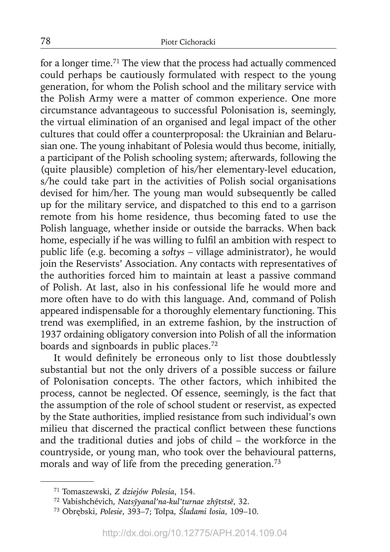for a longer time.<sup>71</sup> The view that the process had actually commenced could perhaps be cautiously formulated with respect to the young generation, for whom the Polish school and the military service with the Polish Army were a matter of common experience. One more circumstance advantageous to successful Polonisation is, seemingly, the virtual elimination of an organised and legal impact of the other cultures that could offer a counterproposal: the Ukrainian and Belarusian one. The young inhabitant of Polesia would thus become, initially, a participant of the Polish schooling system; afterwards, following the (quite plausible) completion of his/her elementary-level education, s/he could take part in the activities of Polish social organisations devised for him/her. The young man would subsequently be called up for the military service, and dispatched to this end to a garrison remote from his home residence, thus becoming fated to use the Polish language, whether inside or outside the barracks. When back home, especially if he was willing to fulfil an ambition with respect to public life (e.g. becoming a *sołtys* – village administrator), he would join the Reservists' Association. Any contacts with representatives of the authorities forced him to maintain at least a passive command of Polish. At last, also in his confessional life he would more and more often have to do with this language. And, command of Polish appeared indispensable for a thoroughly elementary functioning. This trend was exemplified, in an extreme fashion, by the instruction of 1937 ordaining obligatory conversion into Polish of all the information boards and signboards in public places.72

It would definitely be erroneous only to list those doubtlessly substantial but not the only drivers of a possible success or failure of Polonisation concepts. The other factors, which inhibited the process, cannot be neglected. Of essence, seemingly, is the fact that the assumption of the role of school student or reservist, as expected by the State authorities, implied resistance from such individual's own milieu that discerned the practical conflict between these functions and the traditional duties and jobs of child – the workforce in the countryside, or young man, who took over the behavioural patterns, morals and way of life from the preceding generation.73

<sup>71</sup> Tomaszewski, *Z dziejów Polesia*, 154.

<sup>72</sup> Vabishchévich, *Natsyyanal'na-kul'turnae zh ̄ ytstsë ̄* , 32.

<sup>73</sup> Obrębski, *Polesie*, 393–7; Tołpa, *Śladami łosia*, 109–10.